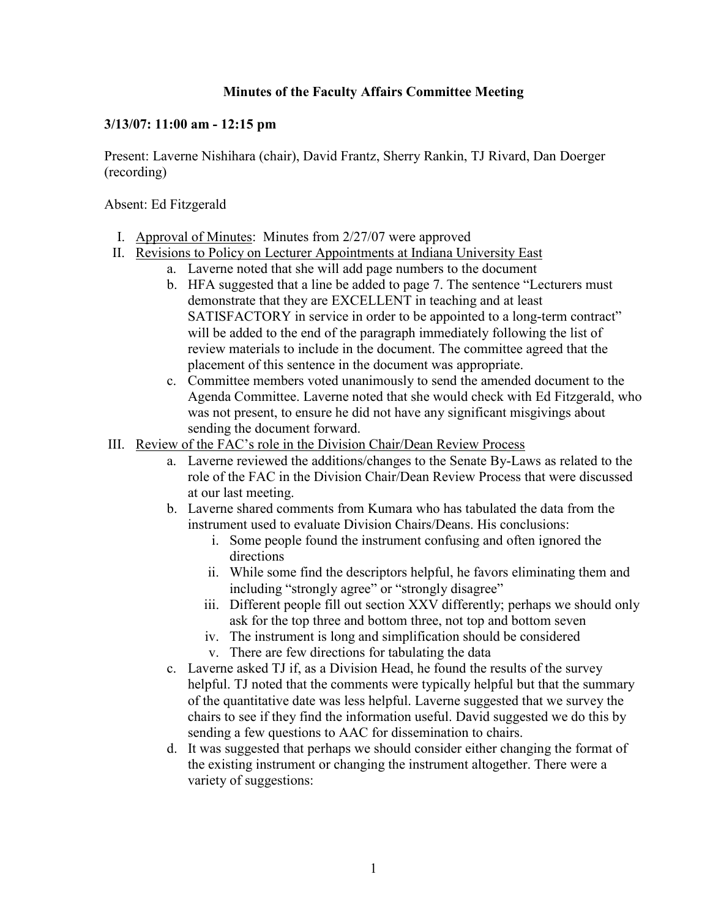## **Minutes of the Faculty Affairs Committee Meeting**

## **3/13/07: 11:00 am - 12:15 pm**

Present: Laverne Nishihara (chair), David Frantz, Sherry Rankin, TJ Rivard, Dan Doerger (recording)

Absent: Ed Fitzgerald

- I. Approval of Minutes: Minutes from 2/27/07 were approved
- II. Revisions to Policy on Lecturer Appointments at Indiana University East
	- a. Laverne noted that she will add page numbers to the document
	- b. HFA suggested that a line be added to page 7. The sentence "Lecturers must demonstrate that they are EXCELLENT in teaching and at least SATISFACTORY in service in order to be appointed to a long-term contract" will be added to the end of the paragraph immediately following the list of review materials to include in the document. The committee agreed that the placement of this sentence in the document was appropriate.
	- c. Committee members voted unanimously to send the amended document to the Agenda Committee. Laverne noted that she would check with Ed Fitzgerald, who was not present, to ensure he did not have any significant misgivings about sending the document forward.
- III. Review of the FAC's role in the Division Chair/Dean Review Process
	- a. Laverne reviewed the additions/changes to the Senate By-Laws as related to the role of the FAC in the Division Chair/Dean Review Process that were discussed at our last meeting.
	- b. Laverne shared comments from Kumara who has tabulated the data from the instrument used to evaluate Division Chairs/Deans. His conclusions:
		- i. Some people found the instrument confusing and often ignored the directions
		- ii. While some find the descriptors helpful, he favors eliminating them and including "strongly agree" or "strongly disagree"
		- iii. Different people fill out section XXV differently; perhaps we should only ask for the top three and bottom three, not top and bottom seven
		- iv. The instrument is long and simplification should be considered
		- v. There are few directions for tabulating the data
	- c. Laverne asked TJ if, as a Division Head, he found the results of the survey helpful. TJ noted that the comments were typically helpful but that the summary of the quantitative date was less helpful. Laverne suggested that we survey the chairs to see if they find the information useful. David suggested we do this by sending a few questions to AAC for dissemination to chairs.
	- d. It was suggested that perhaps we should consider either changing the format of the existing instrument or changing the instrument altogether. There were a variety of suggestions: